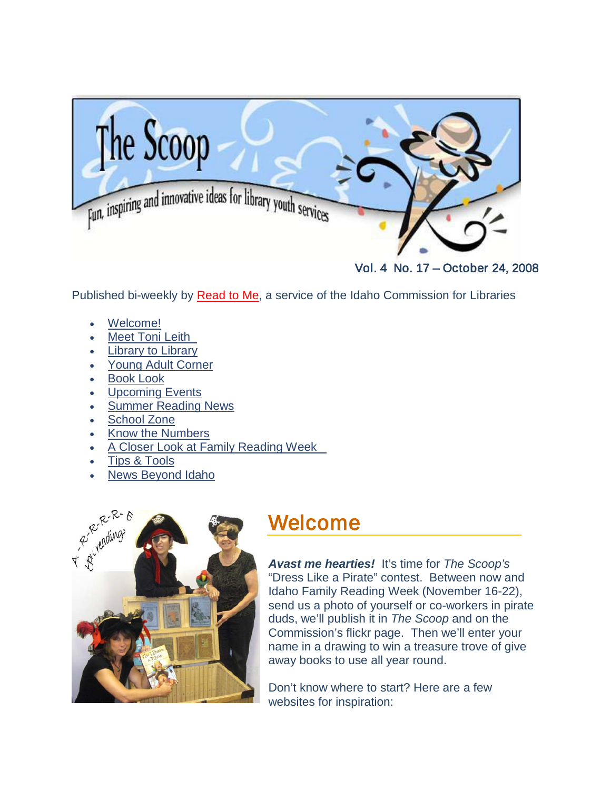<span id="page-0-0"></span>

Vol. 4 No. 17 – October 24, 2008

Published bi-weekly by [Read to Me,](http://libraries.idaho.gov/readtome) a service of the Idaho Commission for Libraries

- [Welcome!](#page-0-0)
- **[Meet Toni Leith](#page-1-0)**
- **[Library to Library](#page-1-1)**
- [Young Adult Corner](#page-4-0)
- **Book Look**
- [Upcoming Events](#page-6-0)
- [Summer Reading News](#page-9-0)
- [School Zone](#page-13-0)
- Know the Numbers
- [A Closer Look at Family Reading Week](#page-14-0)
- [Tips & Tools](#page-16-0)
- [News Beyond Idaho](#page-19-0)



## Welcome

*Avast me hearties!* It's time for *The Scoop's* "Dress Like a Pirate" contest. Between now and Idaho Family Reading Week (November 16-22), send us a photo of yourself or co-workers in pirate duds, we'll publish it in *The Scoop* and on the Commission's flickr page. Then we'll enter your name in a drawing to win a treasure trove of give away books to use all year round.

Don't know where to start? Here are a few websites for inspiration: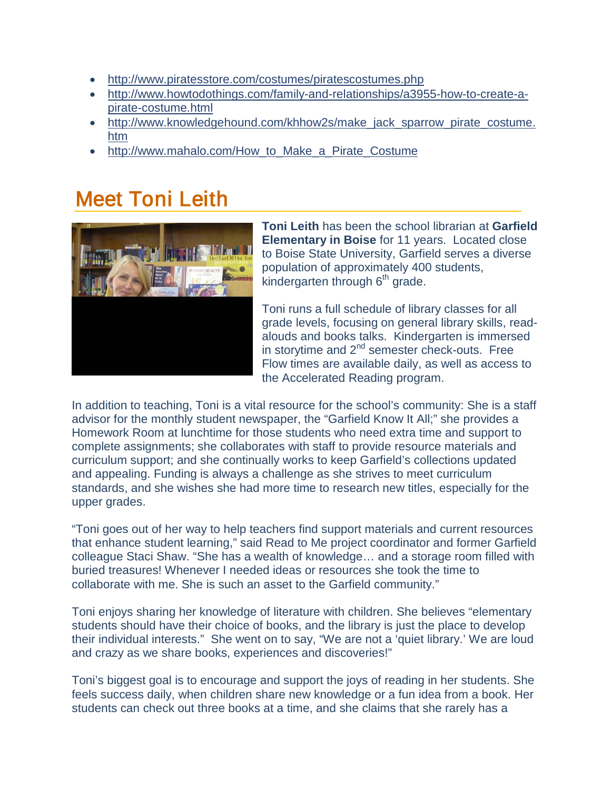- <span id="page-1-1"></span>• <http://www.piratesstore.com/costumes/piratescostumes.php>
- [http://www.howtodothings.com/family-and-relationships/a3955-how-to-create-a](http://www.howtodothings.com/family-and-relationships/a3955-how-to-create-a-pirate-costume.html)[pirate-costume.html](http://www.howtodothings.com/family-and-relationships/a3955-how-to-create-a-pirate-costume.html)
- [http://www.knowledgehound.com/khhow2s/make\\_jack\\_sparrow\\_pirate\\_costume.](http://www.knowledgehound.com/khhow2s/make_jack_sparrow_pirate_costume.htm) [htm](http://www.knowledgehound.com/khhow2s/make_jack_sparrow_pirate_costume.htm)
- [http://www.mahalo.com/How\\_to\\_Make\\_a\\_Pirate\\_Costume](http://www.mahalo.com/How_to_Make_a_Pirate_Costume)

# <span id="page-1-0"></span>Meet Toni Leith



**Toni Leith** has been the school librarian at **Garfield Elementary in Boise** for 11 years. Located close to Boise State University, Garfield serves a diverse population of approximately 400 students, kindergarten through  $6<sup>th</sup>$  grade.

Toni runs a full schedule of library classes for all grade levels, focusing on general library skills, readalouds and books talks. Kindergarten is immersed in storytime and 2<sup>nd</sup> semester check-outs. Free Flow times are available daily, as well as access to the Accelerated Reading program.

In addition to teaching, Toni is a vital resource for the school's community: She is a staff advisor for the monthly student newspaper, the "Garfield Know It All;" she provides a Homework Room at lunchtime for those students who need extra time and support to complete assignments; she collaborates with staff to provide resource materials and curriculum support; and she continually works to keep Garfield's collections updated and appealing. Funding is always a challenge as she strives to meet curriculum standards, and she wishes she had more time to research new titles, especially for the upper grades.

"Toni goes out of her way to help teachers find support materials and current resources that enhance student learning," said Read to Me project coordinator and former Garfield colleague Staci Shaw. "She has a wealth of knowledge… and a storage room filled with buried treasures! Whenever I needed ideas or resources she took the time to collaborate with me. She is such an asset to the Garfield community."

Toni enjoys sharing her knowledge of literature with children. She believes "elementary students should have their choice of books, and the library is just the place to develop their individual interests." She went on to say, "We are not a 'quiet library.' We are loud and crazy as we share books, experiences and discoveries!"

Toni's biggest goal is to encourage and support the joys of reading in her students. She feels success daily, when children share new knowledge or a fun idea from a book. Her students can check out three books at a time, and she claims that she rarely has a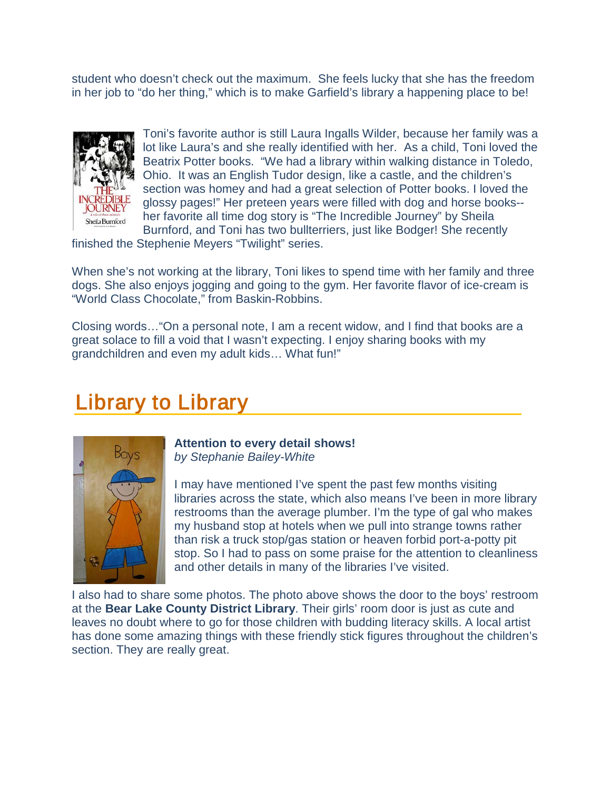student who doesn't check out the maximum. She feels lucky that she has the freedom in her job to "do her thing," which is to make Garfield's library a happening place to be!



Toni's favorite author is still Laura Ingalls Wilder, because her family was a lot like Laura's and she really identified with her. As a child, Toni loved the Beatrix Potter books. "We had a library within walking distance in Toledo, Ohio. It was an English Tudor design, like a castle, and the children's section was homey and had a great selection of Potter books. I loved the glossy pages!" Her preteen years were filled with dog and horse books- her favorite all time dog story is "The Incredible Journey" by Sheila Burnford, and Toni has two bullterriers, just like Bodger! She recently

finished the Stephenie Meyers "Twilight" series.

When she's not working at the library, Toni likes to spend time with her family and three dogs. She also enjoys jogging and going to the gym. Her favorite flavor of ice-cream is "World Class Chocolate," from Baskin-Robbins.

Closing words…"On a personal note, I am a recent widow, and I find that books are a great solace to fill a void that I wasn't expecting. I enjoy sharing books with my grandchildren and even my adult kids… What fun!"

## Library to Library



**Attention to every detail shows!** *by Stephanie Bailey-White*

I may have mentioned I've spent the past few months visiting libraries across the state, which also means I've been in more library restrooms than the average plumber. I'm the type of gal who makes my husband stop at hotels when we pull into strange towns rather than risk a truck stop/gas station or heaven forbid port-a-potty pit stop. So I had to pass on some praise for the attention to cleanliness and other details in many of the libraries I've visited.

I also had to share some photos. The photo above shows the door to the boys' restroom at the **Bear Lake County District Library**. Their girls' room door is just as cute and leaves no doubt where to go for those children with budding literacy skills. A local artist has done some amazing things with these friendly stick figures throughout the children's section. They are really great.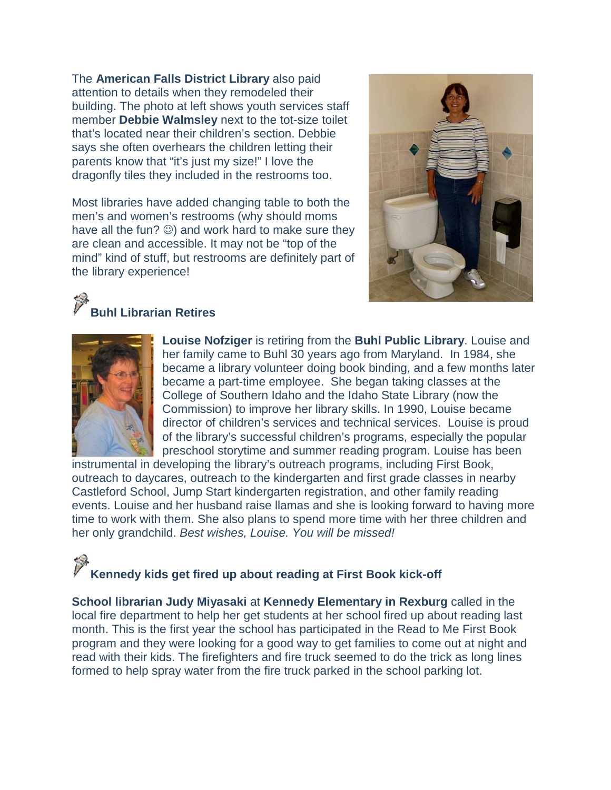The **American Falls District Library** also paid attention to details when they remodeled their building. The photo at left shows youth services staff member **Debbie Walmsley** next to the tot-size toilet that's located near their children's section. Debbie says she often overhears the children letting their parents know that "it's just my size!" I love the dragonfly tiles they included in the restrooms too.

Most libraries have added changing table to both the men's and women's restrooms (why should moms have all the fun?  $\circledcirc$ ) and work hard to make sure they are clean and accessible. It may not be "top of the mind" kind of stuff, but restrooms are definitely part of the library experience!



## **Buhl Librarian Retires**



**Louise Nofziger** is retiring from the **Buhl Public Library**. Louise and her family came to Buhl 30 years ago from Maryland. In 1984, she became a library volunteer doing book binding, and a few months later became a part-time employee. She began taking classes at the College of Southern Idaho and the Idaho State Library (now the Commission) to improve her library skills. In 1990, Louise became director of children's services and technical services. Louise is proud of the library's successful children's programs, especially the popular preschool storytime and summer reading program. Louise has been

instrumental in developing the library's outreach programs, including First Book, outreach to daycares, outreach to the kindergarten and first grade classes in nearby Castleford School, Jump Start kindergarten registration, and other family reading events. Louise and her husband raise llamas and she is looking forward to having more time to work with them. She also plans to spend more time with her three children and her only grandchild. *Best wishes, Louise. You will be missed!*

# **Kennedy kids get fired up about reading at First Book kick-off**

**School librarian Judy Miyasaki** at **Kennedy Elementary in Rexburg** called in the local fire department to help her get students at her school fired up about reading last month. This is the first year the school has participated in the Read to Me First Book program and they were looking for a good way to get families to come out at night and read with their kids. The firefighters and fire truck seemed to do the trick as long lines formed to help spray water from the fire truck parked in the school parking lot.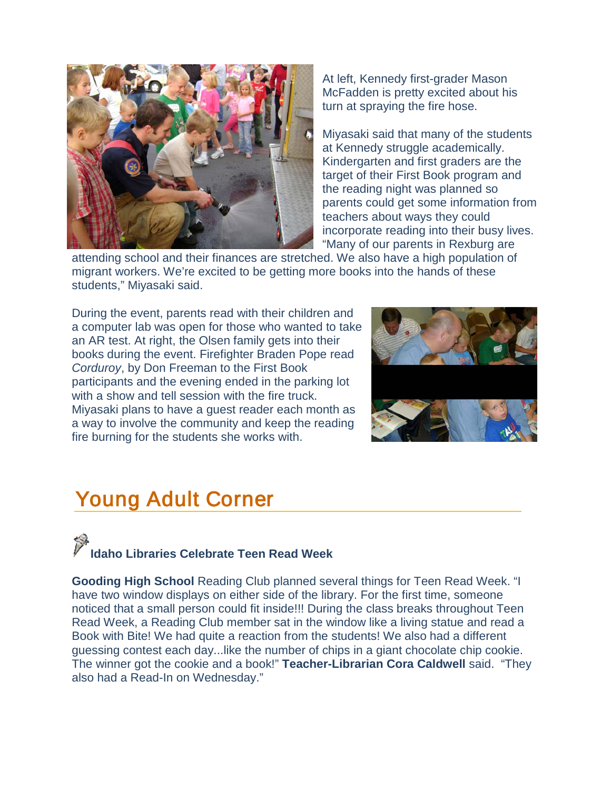

At left, Kennedy first-grader Mason McFadden is pretty excited about his turn at spraying the fire hose.

Miyasaki said that many of the students at Kennedy struggle academically. Kindergarten and first graders are the target of their First Book program and the reading night was planned so parents could get some information from teachers about ways they could incorporate reading into their busy lives. "Many of our parents in Rexburg are

attending school and their finances are stretched. We also have a high population of migrant workers. We're excited to be getting more books into the hands of these students," Miyasaki said.

During the event, parents read with their children and a computer lab was open for those who wanted to take an AR test. At right, the Olsen family gets into their books during the event. Firefighter Braden Pope read *Corduroy*, by Don Freeman to the First Book participants and the evening ended in the parking lot with a show and tell session with the fire truck. Miyasaki plans to have a guest reader each month as a way to involve the community and keep the reading fire burning for the students she works with.



# <span id="page-4-0"></span>Young Adult Corner

# **Idaho Libraries Celebrate Teen Read Week**

**Gooding High School** Reading Club planned several things for Teen Read Week. "I have two window displays on either side of the library. For the first time, someone noticed that a small person could fit inside!!! During the class breaks throughout Teen Read Week, a Reading Club member sat in the window like a living statue and read a Book with Bite! We had quite a reaction from the students! We also had a different guessing contest each day...like the number of chips in a giant chocolate chip cookie. The winner got the cookie and a book!" **Teacher-Librarian Cora Caldwell** said. "They also had a Read-In on Wednesday."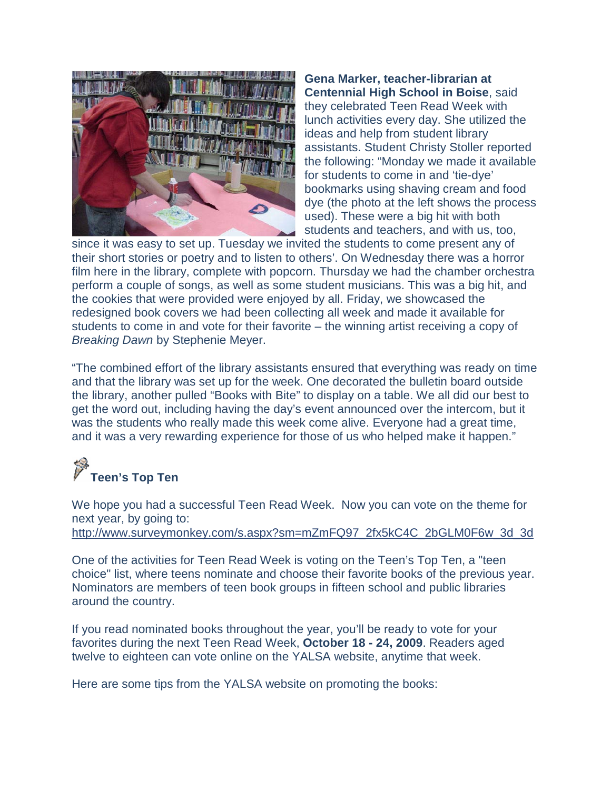

**Gena Marker, teacher-librarian at Centennial High School in Boise**, said they celebrated Teen Read Week with lunch activities every day. She utilized the ideas and help from student library assistants. Student Christy Stoller reported the following: "Monday we made it available for students to come in and 'tie-dye' bookmarks using shaving cream and food dye (the photo at the left shows the process used). These were a big hit with both students and teachers, and with us, too,

since it was easy to set up. Tuesday we invited the students to come present any of their short stories or poetry and to listen to others'. On Wednesday there was a horror film here in the library, complete with popcorn. Thursday we had the chamber orchestra perform a couple of songs, as well as some student musicians. This was a big hit, and the cookies that were provided were enjoyed by all. Friday, we showcased the redesigned book covers we had been collecting all week and made it available for students to come in and vote for their favorite – the winning artist receiving a copy of *Breaking Dawn* by Stephenie Meyer.

"The combined effort of the library assistants ensured that everything was ready on time and that the library was set up for the week. One decorated the bulletin board outside the library, another pulled "Books with Bite" to display on a table. We all did our best to get the word out, including having the day's event announced over the intercom, but it was the students who really made this week come alive. Everyone had a great time, and it was a very rewarding experience for those of us who helped make it happen."

# **Teen's Top Ten**

We hope you had a successful Teen Read Week. Now you can vote on the theme for next year, by going to: [http://www.surveymonkey.com/s.aspx?sm=mZmFQ97\\_2fx5kC4C\\_2bGLM0F6w\\_3d\\_3d](http://www.surveymonkey.com/s.aspx?sm=mZmFQ97_2fx5kC4C_2bGLM0F6w_3d_3d)

One of the activities for Teen Read Week is voting on the Teen's Top Ten, a "teen choice" list, where teens nominate and choose their favorite books of the previous year. Nominators are members of teen book groups in fifteen school and public libraries around the country.

If you read nominated books throughout the year, you'll be ready to vote for your favorites during the next Teen Read Week, **October 18 - 24, 2009**. Readers aged twelve to eighteen can vote online on the YALSA website, anytime that week.

Here are some tips from the YALSA website on promoting the books: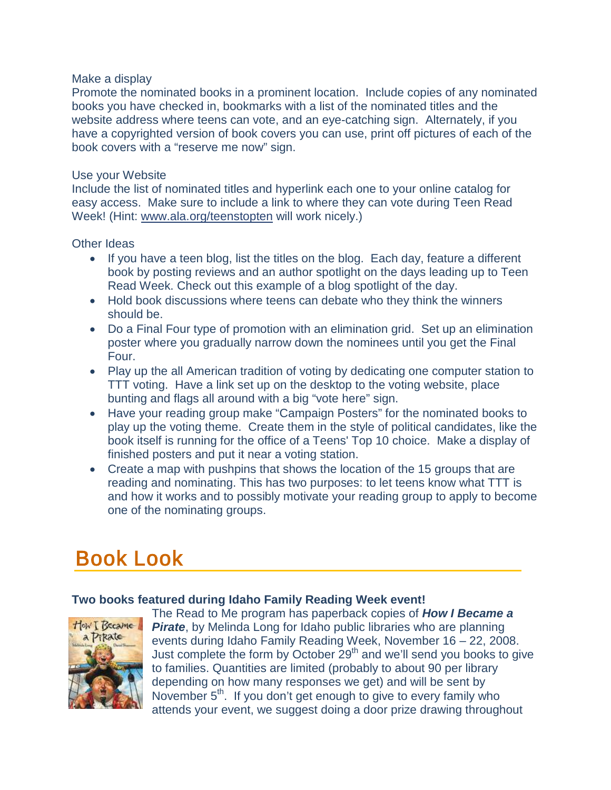#### Make a display

Promote the nominated books in a prominent location. Include copies of any nominated books you have checked in, bookmarks with a list of the nominated titles and the website address where teens can vote, and an eye-catching sign. Alternately, if you have a copyrighted version of book covers you can use, print off pictures of each of the book covers with a "reserve me now" sign.

#### Use your Website

Include the list of nominated titles and hyperlink each one to your online catalog for easy access. Make sure to include a link to where they can vote during Teen Read Week! (Hint: [www.ala.org/teenstopten](http://www.ala.org/teenstopten) will work nicely.)

### Other Ideas

- If you have a teen blog, list the titles on the blog. Each day, feature a different book by posting reviews and an author spotlight on the days leading up to Teen Read Week. Check out this example of a blog spotlight of the day.
- Hold book discussions where teens can debate who they think the winners should be.
- Do a Final Four type of promotion with an elimination grid. Set up an elimination poster where you gradually narrow down the nominees until you get the Final Four.
- Play up the all American tradition of voting by dedicating one computer station to TTT voting. Have a link set up on the desktop to the voting website, place bunting and flags all around with a big "vote here" sign.
- Have your reading group make "Campaign Posters" for the nominated books to play up the voting theme. Create them in the style of political candidates, like the book itself is running for the office of a Teens' Top 10 choice. Make a display of finished posters and put it near a voting station.
- Create a map with pushpins that shows the location of the 15 groups that are reading and nominating. This has two purposes: to let teens know what TTT is and how it works and to possibly motivate your reading group to apply to become one of the nominating groups.

# Book Look

### <span id="page-6-0"></span>**Two books featured during Idaho Family Reading Week event!**



The Read to Me program has paperback copies of *How I Became a*  **Pirate**, by Melinda Long for Idaho public libraries who are planning events during Idaho Family Reading Week, November 16 – 22, 2008. Just complete the form by October  $29<sup>th</sup>$  and we'll send you books to give to families. Quantities are limited (probably to about 90 per library depending on how many responses we get) and will be sent by November 5<sup>th</sup>. If you don't get enough to give to every family who attends your event, we suggest doing a door prize drawing throughout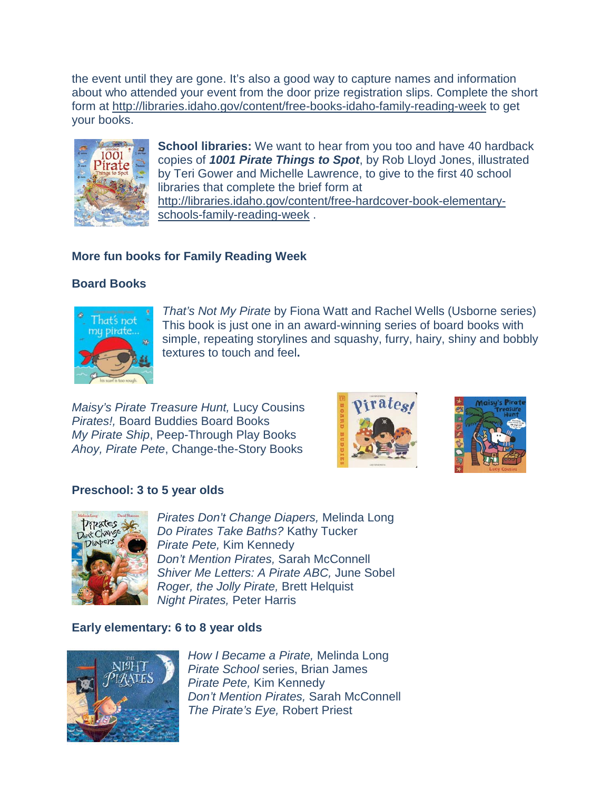the event until they are gone. It's also a good way to capture names and information about who attended your event from the door prize registration slips. Complete the short form at <http://libraries.idaho.gov/content/free-books-idaho-family-reading-week> to get your books.



**School libraries:** We want to hear from you too and have 40 hardback copies of *1001 Pirate Things to Spot*, by Rob Lloyd Jones, illustrated by Teri Gower and Michelle Lawrence, to give to the first 40 school libraries that complete the brief form at [http://libraries.idaho.gov/content/free-hardcover-book-elementary](http://libraries.idaho.gov/content/free-hardcover-book-elementary-schools-family-reading-week)[schools-family-reading-week](http://libraries.idaho.gov/content/free-hardcover-book-elementary-schools-family-reading-week) .

### **More fun books for Family Reading Week**

## **Board Books**



*That's Not My Pirate* by Fiona Watt and Rachel Wells (Usborne series) This book is just one in an award-winning series of board books with simple, repeating storylines and squashy, furry, hairy, shiny and bobbly textures to touch and feel**.** 

*Maisy's Pirate Treasure Hunt,* Lucy Cousins *Pirates!,* Board Buddies Board Books *My Pirate Ship*, Peep-Through Play Books *Ahoy, Pirate Pete*, Change-the-Story Books





### **Preschool: 3 to 5 year olds**



*Pirates Don't Change Diapers,* Melinda Long *Do Pirates Take Baths?* Kathy Tucker *Pirate Pete,* Kim Kennedy *Don't Mention Pirates,* Sarah McConnell *Shiver Me Letters: A Pirate ABC,* June Sobel *Roger, the Jolly Pirate,* Brett Helquist *Night Pirates,* Peter Harris

### **Early elementary: 6 to 8 year olds**



*How I Became a Pirate,* Melinda Long *Pirate School* series, Brian James *Pirate Pete,* Kim Kennedy *Don't Mention Pirates,* Sarah McConnell *The Pirate's Eye,* Robert Priest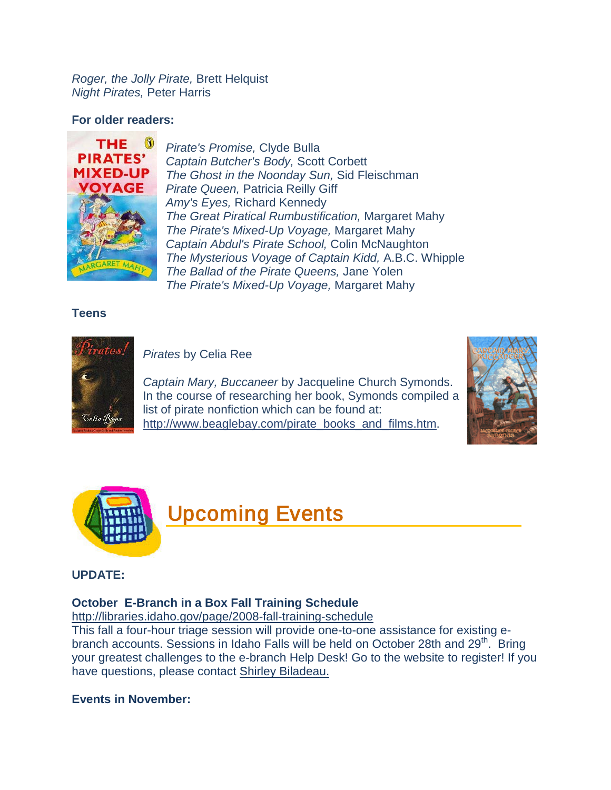*Roger, the Jolly Pirate,* Brett Helquist *Night Pirates,* Peter Harris

#### **For older readers:**



*Pirate's Promise,* Clyde Bulla *Captain Butcher's Body,* Scott Corbett *The Ghost in the Noonday Sun,* Sid Fleischman *Pirate Queen,* Patricia Reilly Giff *Amy's Eyes,* Richard Kennedy *The Great Piratical Rumbustification,* Margaret Mahy *The Pirate's Mixed-Up Voyage,* Margaret Mahy *Captain Abdul's Pirate School,* Colin McNaughton *The Mysterious Voyage of Captain Kidd,* A.B.C. Whipple *The Ballad of the Pirate Queens,* Jane Yolen *The Pirate's Mixed-Up Voyage,* Margaret Mahy

#### **Teens**



*Pirates* by Celia Ree

*Captain Mary, Buccaneer* by Jacqueline Church Symonds. In the course of researching her book, Symonds compiled a list of pirate nonfiction which can be found at: [http://www.beaglebay.com/pirate\\_books\\_and\\_films.htm.](http://www.beaglebay.com/pirate_books_and_films.htm)







#### **UPDATE:**

#### **October E-Branch in a Box Fall Training Schedule**

<http://libraries.idaho.gov/page/2008-fall-training-schedule>

This fall a four-hour triage session will provide one-to-one assistance for existing ebranch accounts. Sessions in Idaho Falls will be held on October 28th and 29<sup>th</sup>. Bring your greatest challenges to the e-branch Help Desk! Go to the website to register! If you have questions, please contact [Shirley Biladeau.](mailto:shirley.biladeau@libraries.idaho.gov)

#### **Events in November:**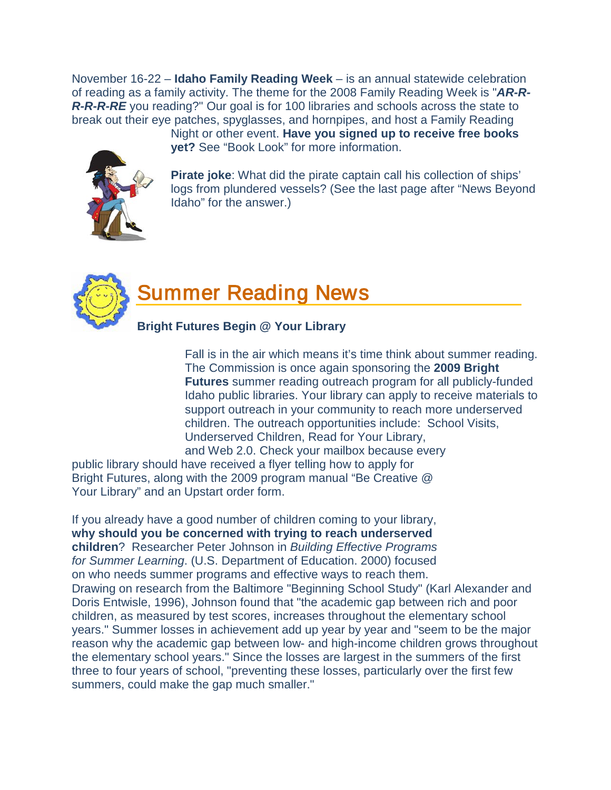November 16-22 – **Idaho Family Reading Week** – is an annual statewide celebration of reading as a family activity. The theme for the 2008 Family Reading Week is "*AR-R-***R-R-R-RE** you reading?" Our goal is for 100 libraries and schools across the state to break out their eye patches, spyglasses, and hornpipes, and host a Family Reading

Night or other event. **Have you signed up to receive free books yet?** See "Book Look" for more information.

**Pirate joke**: What did the pirate captain call his collection of ships' logs from plundered vessels? (See the last page after "News Beyond Idaho" for the answer.)



## <span id="page-9-0"></span>Summer Reading News

## **Bright Futures Begin @ Your Library**

Fall is in the air which means it's time think about summer reading. The Commission is once again sponsoring the **2009 Bright Futures** summer reading outreach program for all publicly-funded Idaho public libraries. Your library can apply to receive materials to support outreach in your community to reach more underserved children. The outreach opportunities include: School Visits, Underserved Children, Read for Your Library, and Web 2.0. Check your mailbox because every

public library should have received a flyer telling how to apply for Bright Futures, along with the 2009 program manual "Be Creative @ Your Library" and an Upstart order form.

If you already have a good number of children coming to your library, **why should you be concerned with trying to reach underserved children**? Researcher Peter Johnson in *Building Effective Programs for Summer Learning*. (U.S. Department of Education. 2000) focused on who needs summer programs and effective ways to reach them. Drawing on research from the Baltimore "Beginning School Study" (Karl Alexander and Doris Entwisle, 1996), Johnson found that "the academic gap between rich and poor children, as measured by test scores, increases throughout the elementary school years." Summer losses in achievement add up year by year and "seem to be the major reason why the academic gap between low- and high-income children grows throughout the elementary school years." Since the losses are largest in the summers of the first three to four years of school, "preventing these losses, particularly over the first few summers, could make the gap much smaller."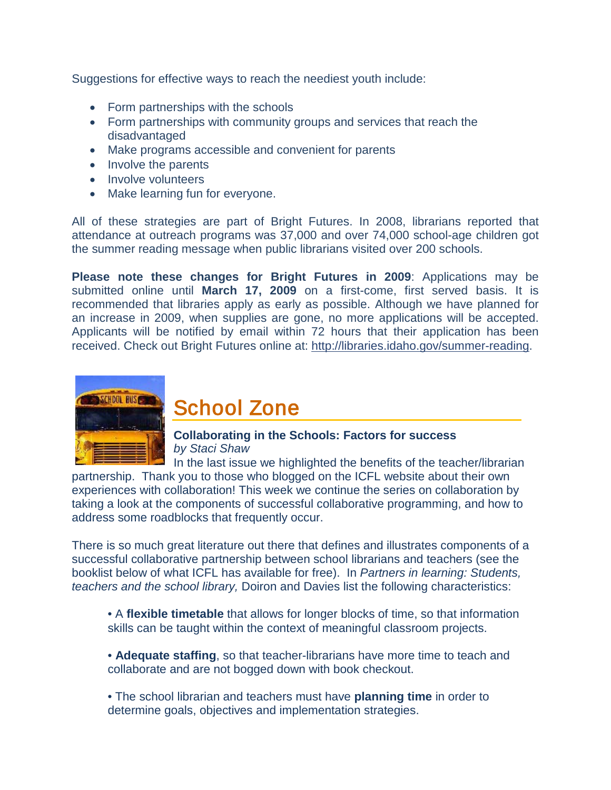Suggestions for effective ways to reach the neediest youth include:

- Form partnerships with the schools
- Form partnerships with community groups and services that reach the disadvantaged
- Make programs accessible and convenient for parents
- Involve the parents
- Involve volunteers
- Make learning fun for everyone.

All of these strategies are part of Bright Futures. In 2008, librarians reported that attendance at outreach programs was 37,000 and over 74,000 school-age children got the summer reading message when public librarians visited over 200 schools.

**Please note these changes for Bright Futures in 2009**: Applications may be submitted online until **March 17, 2009** on a first-come, first served basis. It is recommended that libraries apply as early as possible. Although we have planned for an increase in 2009, when supplies are gone, no more applications will be accepted. Applicants will be notified by email within 72 hours that their application has been received. Check out Bright Futures online at: [http://libraries.idaho.gov/summer-reading.](http://libraries.idaho.gov/summer-reading)



## School Zone

#### **Collaborating in the Schools: Factors for success** *by Staci Shaw*

In the last issue we highlighted the benefits of the teacher/librarian

partnership. Thank you to those who blogged on the ICFL website about their own experiences with collaboration! This week we continue the series on collaboration by taking a look at the components of successful collaborative programming, and how to address some roadblocks that frequently occur.

There is so much great literature out there that defines and illustrates components of a successful collaborative partnership between school librarians and teachers (see the booklist below of what ICFL has available for free). In *Partners in learning: Students, teachers and the school library,* Doiron and Davies list the following characteristics:

• A **flexible timetable** that allows for longer blocks of time, so that information skills can be taught within the context of meaningful classroom projects.

• **Adequate staffing**, so that teacher-librarians have more time to teach and collaborate and are not bogged down with book checkout.

• The school librarian and teachers must have **planning time** in order to determine goals, objectives and implementation strategies.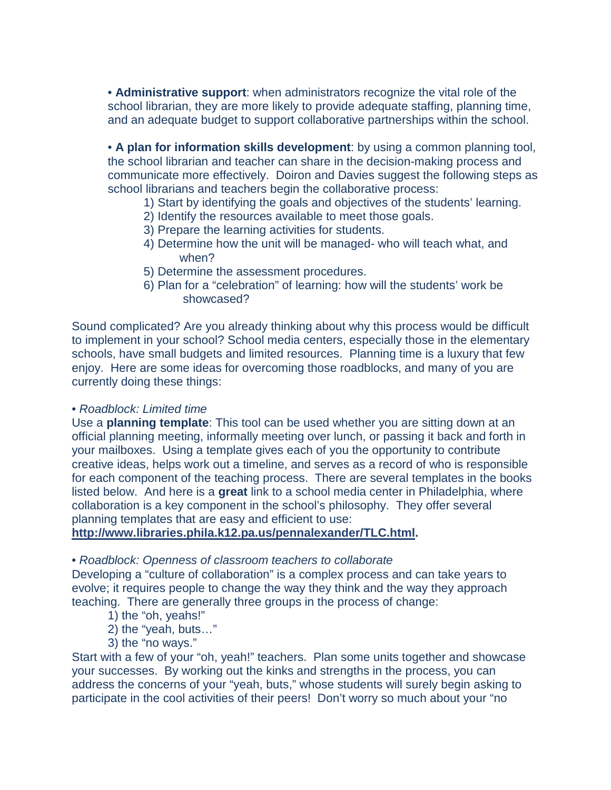• **Administrative support**: when administrators recognize the vital role of the school librarian, they are more likely to provide adequate staffing, planning time, and an adequate budget to support collaborative partnerships within the school.

• **A plan for information skills development**: by using a common planning tool, the school librarian and teacher can share in the decision-making process and communicate more effectively. Doiron and Davies suggest the following steps as school librarians and teachers begin the collaborative process:

- 1) Start by identifying the goals and objectives of the students' learning.
- 2) Identify the resources available to meet those goals.
- 3) Prepare the learning activities for students.
- 4) Determine how the unit will be managed- who will teach what, and when?
- 5) Determine the assessment procedures.
- 6) Plan for a "celebration" of learning: how will the students' work be showcased?

Sound complicated? Are you already thinking about why this process would be difficult to implement in your school? School media centers, especially those in the elementary schools, have small budgets and limited resources. Planning time is a luxury that few enjoy. Here are some ideas for overcoming those roadblocks, and many of you are currently doing these things:

• *Roadblock: Limited time*

Use a **planning template**: This tool can be used whether you are sitting down at an official planning meeting, informally meeting over lunch, or passing it back and forth in your mailboxes. Using a template gives each of you the opportunity to contribute creative ideas, helps work out a timeline, and serves as a record of who is responsible for each component of the teaching process. There are several templates in the books listed below. And here is a **great** link to a school media center in Philadelphia, where collaboration is a key component in the school's philosophy. They offer several planning templates that are easy and efficient to use:

**[http://www.libraries.phila.k12.pa.us/pennalexander/TLC.html.](http://www.libraries.phila.k12.pa.us/pennalexander/TLC.html)**

#### • *Roadblock: Openness of classroom teachers to collaborate*

Developing a "culture of collaboration" is a complex process and can take years to evolve; it requires people to change the way they think and the way they approach teaching. There are generally three groups in the process of change:

- 1) the "oh, yeahs!"
- 2) the "yeah, buts…"
- 3) the "no ways."

Start with a few of your "oh, yeah!" teachers. Plan some units together and showcase your successes. By working out the kinks and strengths in the process, you can address the concerns of your "yeah, buts," whose students will surely begin asking to participate in the cool activities of their peers! Don't worry so much about your "no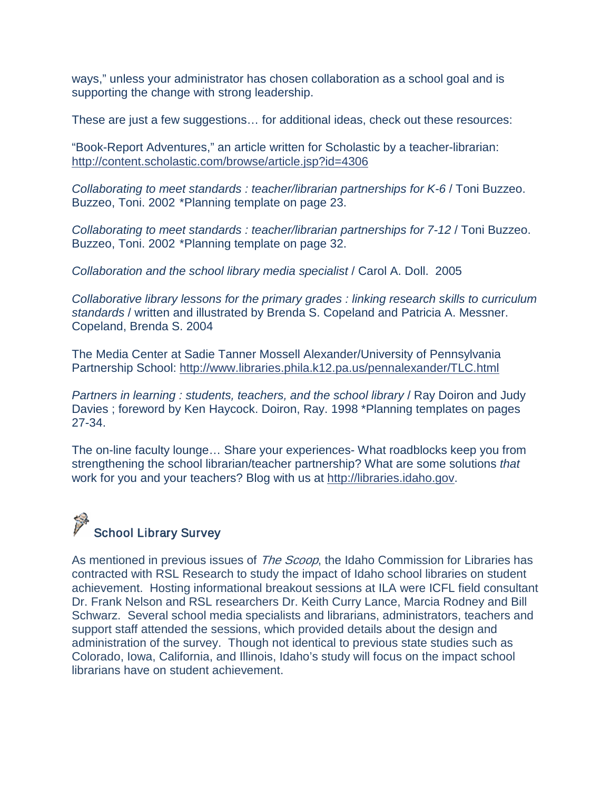ways," unless your administrator has chosen collaboration as a school goal and is supporting the change with strong leadership.

These are just a few suggestions… for additional ideas, check out these resources:

"Book-Report Adventures," an article written for Scholastic by a teacher-librarian: <http://content.scholastic.com/browse/article.jsp?id=4306>

*Collaborating to meet standards : teacher/librarian partnerships for K-6* / Toni Buzzeo. Buzzeo, Toni. 2002 \*Planning template on page 23.

*Collaborating to meet standards : teacher/librarian partnerships for 7-12* / Toni Buzzeo. Buzzeo, Toni. 2002 \*Planning template on page 32.

*Collaboration and the school library media specialist* / Carol A. Doll. 2005

*Collaborative library lessons for the primary grades : linking research skills to curriculum standards* / written and illustrated by Brenda S. Copeland and Patricia A. Messner. Copeland, Brenda S. 2004

The Media Center at Sadie Tanner Mossell Alexander/University of Pennsylvania Partnership School:<http://www.libraries.phila.k12.pa.us/pennalexander/TLC.html>

*Partners in learning : students, teachers, and the school library* / Ray Doiron and Judy Davies ; foreword by Ken Haycock. Doiron, Ray. 1998 \*Planning templates on pages 27-34.

The on-line faculty lounge… Share your experiences- What roadblocks keep you from strengthening the school librarian/teacher partnership? What are some solutions *that*  work for you and your teachers? Blog with us at [http://libraries.idaho.gov.](http://libraries.idaho.gov/)

# School Library Survey

As mentioned in previous issues of *The Scoop*, the Idaho Commission for Libraries has contracted with RSL Research to study the impact of Idaho school libraries on student achievement. Hosting informational breakout sessions at ILA were ICFL field consultant Dr. Frank Nelson and RSL researchers Dr. Keith Curry Lance, Marcia Rodney and Bill Schwarz. Several school media specialists and librarians, administrators, teachers and support staff attended the sessions, which provided details about the design and administration of the survey. Though not identical to previous state studies such as Colorado, Iowa, California, and Illinois, Idaho's study will focus on the impact school librarians have on student achievement.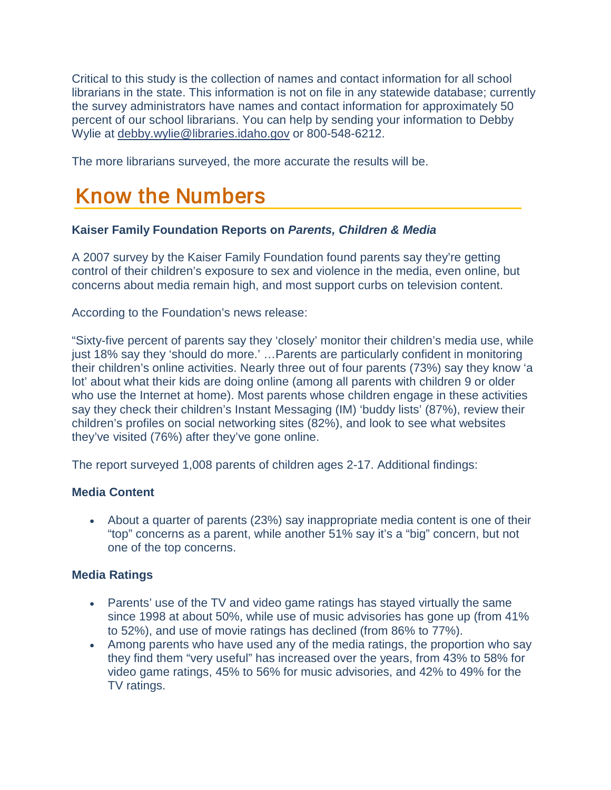Critical to this study is the collection of names and contact information for all school librarians in the state. This information is not on file in any statewide database; currently the survey administrators have names and contact information for approximately 50 percent of our school librarians. You can help by sending your information to Debby Wylie at [debby.wylie@libraries.idaho.gov](mailto:debby.wylie@libraries.idaho.gov) or 800-548-6212.

<span id="page-13-0"></span>The more librarians surveyed, the more accurate the results will be.

# Know the Numbers

## **Kaiser Family Foundation Reports on** *Parents, Children & Media*

A 2007 survey by the Kaiser Family Foundation found parents say they're getting control of their children's exposure to sex and violence in the media, even online, but concerns about media remain high, and most support curbs on television content.

According to the Foundation's news release:

"Sixty-five percent of parents say they 'closely' monitor their children's media use, while just 18% say they 'should do more.' …Parents are particularly confident in monitoring their children's online activities. Nearly three out of four parents (73%) say they know 'a lot' about what their kids are doing online (among all parents with children 9 or older who use the Internet at home). Most parents whose children engage in these activities say they check their children's Instant Messaging (IM) 'buddy lists' (87%), review their children's profiles on social networking sites (82%), and look to see what websites they've visited (76%) after they've gone online.

The report surveyed 1,008 parents of children ages 2-17. Additional findings:

## **Media Content**

• About a quarter of parents (23%) say inappropriate media content is one of their "top" concerns as a parent, while another 51% say it's a "big" concern, but not one of the top concerns.

## **Media Ratings**

- Parents' use of the TV and video game ratings has stayed virtually the same since 1998 at about 50%, while use of music advisories has gone up (from 41% to 52%), and use of movie ratings has declined (from 86% to 77%).
- Among parents who have used any of the media ratings, the proportion who say they find them "very useful" has increased over the years, from 43% to 58% for video game ratings, 45% to 56% for music advisories, and 42% to 49% for the TV ratings.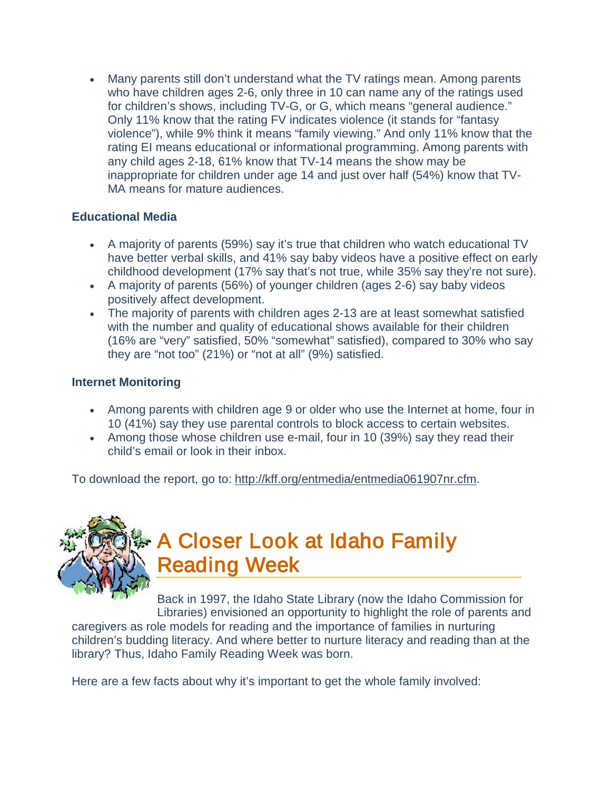• Many parents still don't understand what the TV ratings mean. Among parents who have children ages 2-6, only three in 10 can name any of the ratings used for children's shows, including TV-G, or G, which means "general audience." Only 11% know that the rating FV indicates violence (it stands for "fantasy violence"), while 9% think it means "family viewing." And only 11% know that the rating EI means educational or informational programming. Among parents with any child ages 2-18, 61% know that TV-14 means the show may be inappropriate for children under age 14 and just over half (54%) know that TV-MA means for mature audiences.

### **Educational Media**

- A majority of parents (59%) say it's true that children who watch educational TV have better verbal skills, and 41% say baby videos have a positive effect on early childhood development (17% say that's not true, while 35% say they're not sure).
- A majority of parents (56%) of younger children (ages 2-6) say baby videos positively affect development.
- The majority of parents with children ages 2-13 are at least somewhat satisfied with the number and quality of educational shows available for their children (16% are "very" satisfied, 50% "somewhat" satisfied), compared to 30% who say they are "not too" (21%) or "not at all" (9%) satisfied.

## **Internet Monitoring**

- Among parents with children age 9 or older who use the Internet at home, four in 10 (41%) say they use parental controls to block access to certain websites.
- Among those whose children use e-mail, four in 10 (39%) say they read their child's email or look in their inbox.

To download the report, go to: [http://kff.org/entmedia/entmedia061907nr.cfm.](http://kff.org/entmedia/entmedia061907nr.cfm)



# <span id="page-14-0"></span>A Closer Look at Idaho Family Reading Week

Back in 1997, the Idaho State Library (now the Idaho Commission for Libraries) envisioned an opportunity to highlight the role of parents and

caregivers as role models for reading and the importance of families in nurturing children's budding literacy. And where better to nurture literacy and reading than at the library? Thus, Idaho Family Reading Week was born.

Here are a few facts about why it's important to get the whole family involved: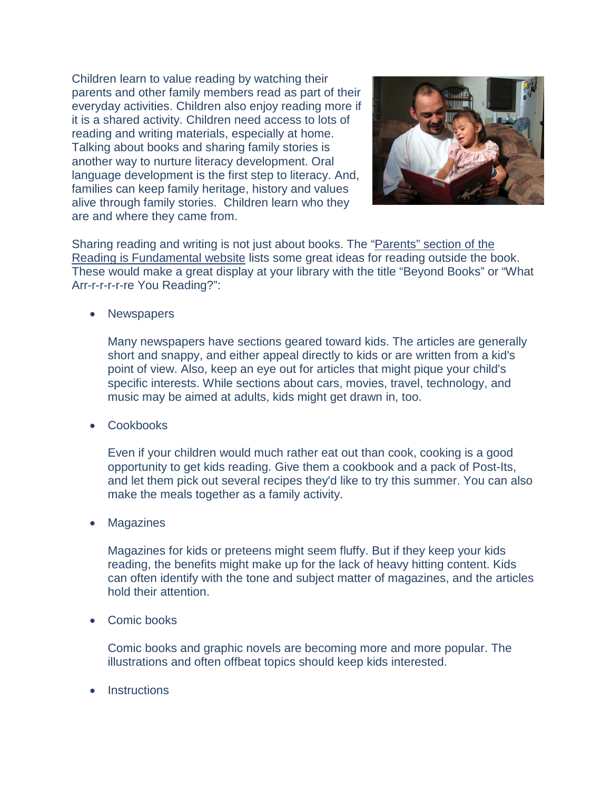Children learn to value reading by watching their parents and other family members read as part of their everyday activities. Children also enjoy reading more if it is a shared activity. Children need access to lots of reading and writing materials, especially at home. Talking about books and sharing family stories is another way to nurture literacy development. Oral language development is the first step to literacy. And, families can keep family heritage, history and values alive through family stories. Children learn who they are and where they came from.



Sharing reading and writing is not just about books. The "Parents" [section of the](http://www.rif.org/parents/tips/tip.mspx?View=69)  [Reading is Fundamental website](http://www.rif.org/parents/tips/tip.mspx?View=69) lists some great ideas for reading outside the book. These would make a great display at your library with the title "Beyond Books" or "What Arr-r-r-r-r-re You Reading?":

• Newspapers

Many newspapers have sections geared toward kids. The articles are generally short and snappy, and either appeal directly to kids or are written from a kid's point of view. Also, keep an eye out for articles that might pique your child's specific interests. While sections about cars, movies, travel, technology, and music may be aimed at adults, kids might get drawn in, too.

• Cookbooks

Even if your children would much rather eat out than cook, cooking is a good opportunity to get kids reading. Give them a cookbook and a pack of Post-Its, and let them pick out several recipes they'd like to try this summer. You can also make the meals together as a family activity.

• Magazines

Magazines for kids or preteens might seem fluffy. But if they keep your kids reading, the benefits might make up for the lack of heavy hitting content. Kids can often identify with the tone and subject matter of magazines, and the articles hold their attention.

• Comic books

Comic books and graphic novels are becoming more and more popular. The illustrations and often offbeat topics should keep kids interested.

**Instructions**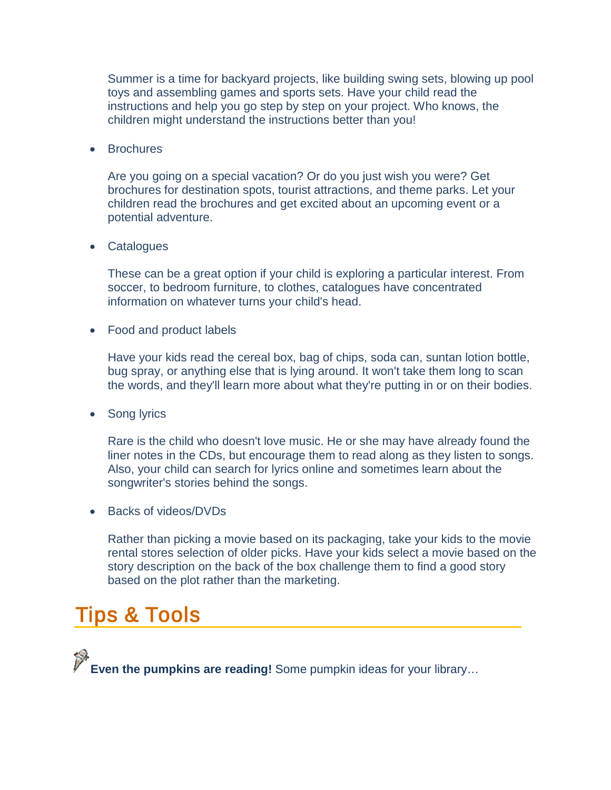Summer is a time for backyard projects, like building swing sets, blowing up pool toys and assembling games and sports sets. Have your child read the instructions and help you go step by step on your project. Who knows, the children might understand the instructions better than you!

• Brochures

Are you going on a special vacation? Or do you just wish you were? Get brochures for destination spots, tourist attractions, and theme parks. Let your children read the brochures and get excited about an upcoming event or a potential adventure.

• Catalogues

These can be a great option if your child is exploring a particular interest. From soccer, to bedroom furniture, to clothes, catalogues have concentrated information on whatever turns your child's head.

• Food and product labels

Have your kids read the cereal box, bag of chips, soda can, suntan lotion bottle, bug spray, or anything else that is lying around. It won't take them long to scan the words, and they'll learn more about what they're putting in or on their bodies.

• Song lyrics

Rare is the child who doesn't love music. He or she may have already found the liner notes in the CDs, but encourage them to read along as they listen to songs. Also, your child can search for lyrics online and sometimes learn about the songwriter's stories behind the songs.

• Backs of videos/DVDs

Rather than picking a movie based on its packaging, take your kids to the movie rental stores selection of older picks. Have your kids select a movie based on the story description on the back of the box challenge them to find a good story based on the plot rather than the marketing.

# <span id="page-16-0"></span>Tips & Tools

**Even the pumpkins are reading!** Some pumpkin ideas for your library…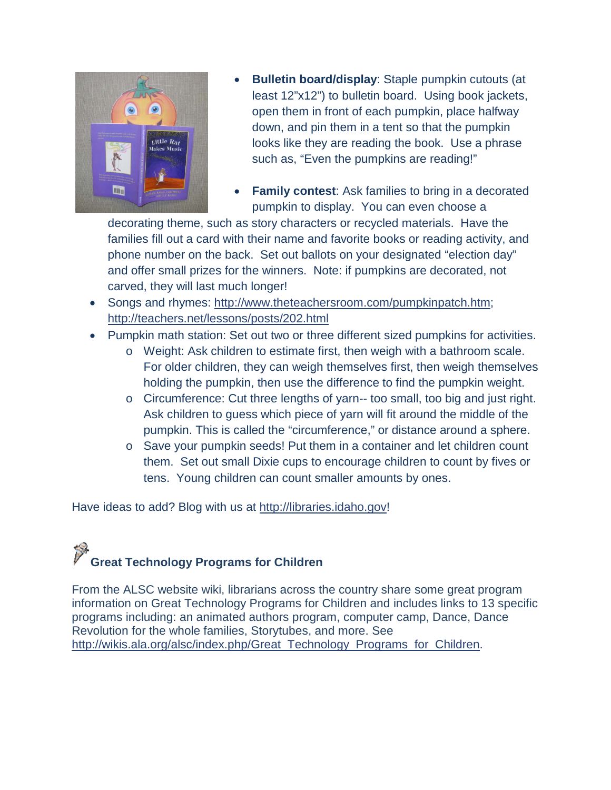

- **Bulletin board/display**: Staple pumpkin cutouts (at least 12"x12") to bulletin board. Using book jackets, open them in front of each pumpkin, place halfway down, and pin them in a tent so that the pumpkin looks like they are reading the book. Use a phrase such as, "Even the pumpkins are reading!"
- **Family contest**: Ask families to bring in a decorated pumpkin to display. You can even choose a

decorating theme, such as story characters or recycled materials. Have the families fill out a card with their name and favorite books or reading activity, and phone number on the back. Set out ballots on your designated "election day" and offer small prizes for the winners. Note: if pumpkins are decorated, not carved, they will last much longer!

- Songs and rhymes: [http://www.theteachersroom.com/pumpkinpatch.htm;](http://www.theteachersroom.com/pumpkinpatch.htm) <http://teachers.net/lessons/posts/202.html>
- Pumpkin math station: Set out two or three different sized pumpkins for activities.
	- o Weight: Ask children to estimate first, then weigh with a bathroom scale. For older children, they can weigh themselves first, then weigh themselves holding the pumpkin, then use the difference to find the pumpkin weight.
	- o Circumference: Cut three lengths of yarn-- too small, too big and just right. Ask children to guess which piece of yarn will fit around the middle of the pumpkin. This is called the "circumference," or distance around a sphere.
	- o Save your pumpkin seeds! Put them in a container and let children count them. Set out small Dixie cups to encourage children to count by fives or tens. Young children can count smaller amounts by ones.

Have ideas to add? Blog with us at [http://libraries.idaho.gov!](http://libraries.idaho.gov/)

# **Great Technology Programs for Children**

From the ALSC website wiki, librarians across the country share some great program information on Great Technology Programs for Children and includes links to 13 specific programs including: an animated authors program, computer camp, Dance, Dance Revolution for the whole families, Storytubes, and more. See [http://wikis.ala.org/alsc/index.php/Great\\_Technology\\_Programs\\_for\\_Children.](http://wikis.ala.org/alsc/index.php/Great_Technology_Programs_for_Children)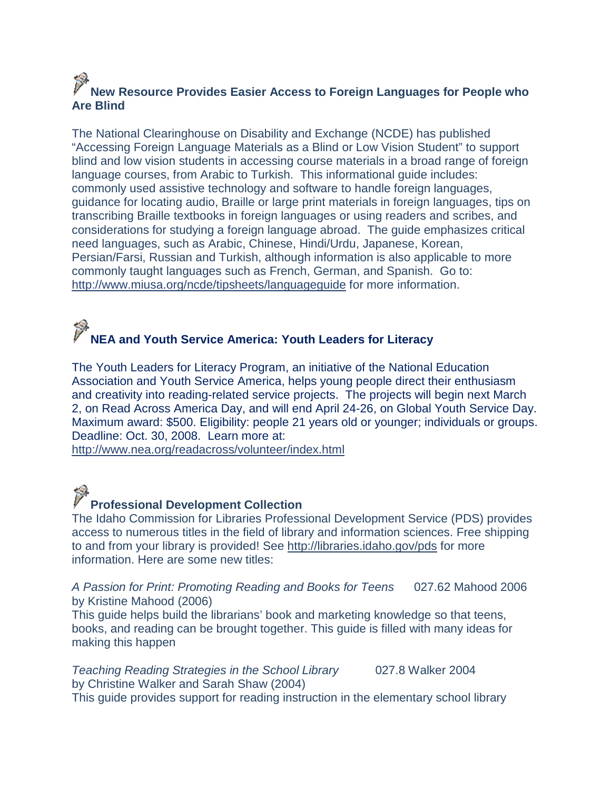## **New Resource Provides Easier Access to Foreign Languages for People who Are Blind**

The National Clearinghouse on Disability and Exchange (NCDE) has published "Accessing Foreign Language Materials as a Blind or Low Vision Student" to support blind and low vision students in accessing course materials in a broad range of foreign language courses, from Arabic to Turkish. This informational guide includes: commonly used assistive technology and software to handle foreign languages, guidance for locating audio, Braille or large print materials in foreign languages, tips on transcribing Braille textbooks in foreign languages or using readers and scribes, and considerations for studying a foreign language abroad. The guide emphasizes critical need languages, such as Arabic, Chinese, Hindi/Urdu, Japanese, Korean, Persian/Farsi, Russian and Turkish, although information is also applicable to more commonly taught languages such as French, German, and Spanish. Go to: <http://www.miusa.org/ncde/tipsheets/languageguide> for more information.

# **NEA and Youth Service America: Youth Leaders for Literacy**

The Youth Leaders for Literacy Program, an initiative of the National Education Association and Youth Service America, helps young people direct their enthusiasm and creativity into reading-related service projects. The projects will begin next March 2, on Read Across America Day, and will end April 24-26, on Global Youth Service Day. Maximum award: \$500. Eligibility: people 21 years old or younger; individuals or groups. Deadline: Oct. 30, 2008. Learn more at:

<http://www.nea.org/readacross/volunteer/index.html>

# **Professional Development Collection**

The Idaho Commission for Libraries Professional Development Service (PDS) provides access to numerous titles in the field of library and information sciences. Free shipping to and from your library is provided! See<http://libraries.idaho.gov/pds> for more information. Here are some new titles:

*A Passion for Print: Promoting Reading and Books for Teens* 027.62 Mahood 2006 by Kristine Mahood (2006)

This guide helps build the librarians' book and marketing knowledge so that teens, books, and reading can be brought together. This guide is filled with many ideas for making this happen

*Teaching Reading Strategies in the School Library* 027.8 Walker 2004 by Christine Walker and Sarah Shaw (2004) This guide provides support for reading instruction in the elementary school library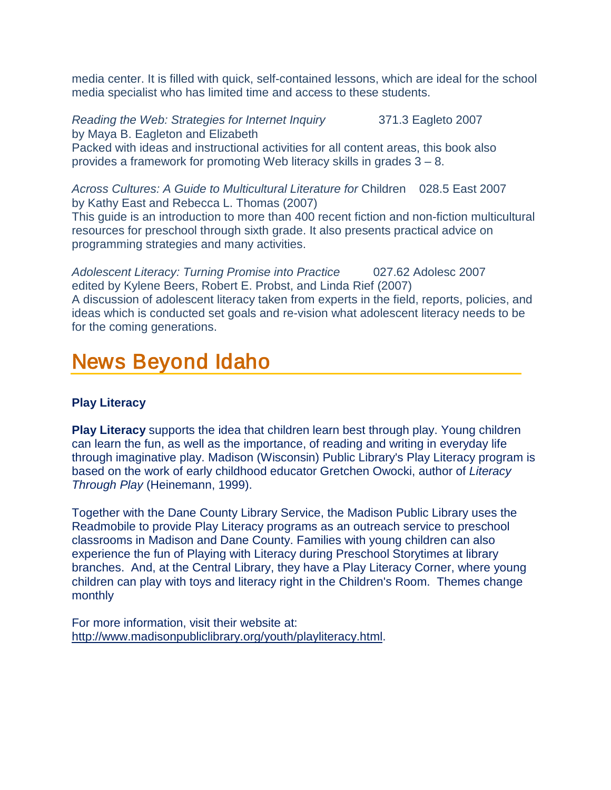media center. It is filled with quick, self-contained lessons, which are ideal for the school media specialist who has limited time and access to these students.

*Reading the Web: Strategies for Internet Inquiry* 371.3 Eagleto 2007 by Maya B. Eagleton and Elizabeth Packed with ideas and instructional activities for all content areas, this book also provides a framework for promoting Web literacy skills in grades 3 – 8.

*Across Cultures: A Guide to Multicultural Literature for* Children 028.5 East 2007 by Kathy East and Rebecca L. Thomas (2007) This guide is an introduction to more than 400 recent fiction and non-fiction multicultural resources for preschool through sixth grade. It also presents practical advice on programming strategies and many activities.

*Adolescent Literacy: Turning Promise into Practice* 027.62 Adolesc 2007 edited by Kylene Beers, Robert E. Probst, and Linda Rief (2007) A discussion of adolescent literacy taken from experts in the field, reports, policies, and ideas which is conducted set goals and re-vision what adolescent literacy needs to be for the coming generations.

# <span id="page-19-0"></span>News Beyond Idaho

## **Play Literacy**

**Play Literacy** supports the idea that children learn best through play. Young children can learn the fun, as well as the importance, of reading and writing in everyday life through imaginative play. Madison (Wisconsin) Public Library's Play Literacy program is based on the work of early childhood educator Gretchen Owocki, author of *Literacy Through Play* (Heinemann, 1999).

Together with the Dane County Library Service, the Madison Public Library uses the Readmobile to provide Play Literacy programs as an outreach service to preschool classrooms in Madison and Dane County. Families with young children can also experience the fun of Playing with Literacy during Preschool Storytimes at library branches. And, at the Central Library, they have a Play Literacy Corner, where young children can play with toys and literacy right in the Children's Room. Themes change monthly

For more information, visit their website at: [http://www.madisonpubliclibrary.org/youth/playliteracy.html.](http://www.madisonpubliclibrary.org/youth/playliteracy.html)